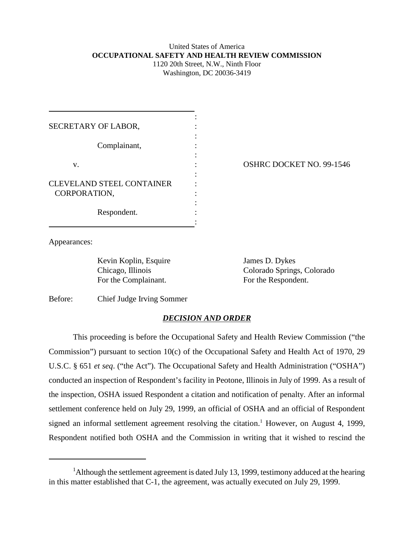## United States of America **OCCUPATIONAL SAFETY AND HEALTH REVIEW COMMISSION** 1120 20th Street, N.W., Ninth Floor

Washington, DC 20036-3419

| SECRETARY OF LABOR,                              |  |
|--------------------------------------------------|--|
| Complainant,                                     |  |
| v.                                               |  |
| <b>CLEVELAND STEEL CONTAINER</b><br>CORPORATION, |  |
| Respondent.                                      |  |

OSHRC DOCKET NO. 99-1546

Appearances:

Kevin Koplin, Esquire James D. Dykes For the Complainant. For the Respondent.

Chicago, Illinois Colorado Springs, Colorado

Before: Chief Judge Irving Sommer

## *DECISION AND ORDER*

This proceeding is before the Occupational Safety and Health Review Commission ("the Commission") pursuant to section 10(c) of the Occupational Safety and Health Act of 1970, 29 U.S.C. § 651 *et seq*. ("the Act"). The Occupational Safety and Health Administration ("OSHA") conducted an inspection of Respondent's facility in Peotone, Illinois in July of 1999. As a result of the inspection, OSHA issued Respondent a citation and notification of penalty. After an informal settlement conference held on July 29, 1999, an official of OSHA and an official of Respondent signed an informal settlement agreement resolving the citation.<sup>1</sup> However, on August 4, 1999, Respondent notified both OSHA and the Commission in writing that it wished to rescind the

<sup>&</sup>lt;sup>1</sup>Although the settlement agreement is dated July 13, 1999, testimony adduced at the hearing in this matter established that C-1, the agreement, was actually executed on July 29, 1999.